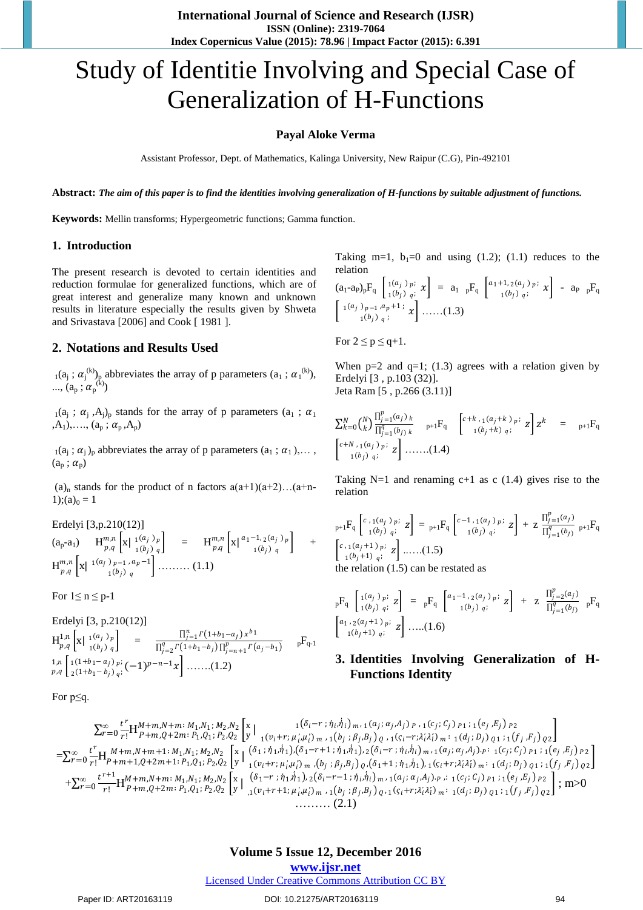**International Journal of Science and Research (IJSR) ISSN (Online): 2319-7064 Index Copernicus Value (2015): 78.96 | Impact Factor (2015): 6.391** 

# Study of Identitie Involving and Special Case of Generalization of H-Functions

## **Payal Aloke Verma**

Assistant Professor, Dept. of Mathematics, Kalinga University, New Raipur (C.G), Pin-492101

**Abstract:** *The aim of this paper is to find the identities involving generalization of H-functions by suitable adjustment of functions.*

**Keywords:** Mellin transforms; Hypergeometric functions; Gamma function.

## **1. Introduction**

The present research is devoted to certain identities and reduction formulae for generalized functions, which are of great interest and generalize many known and unknown results in literature especially the results given by Shweta and Srivastava [2006] and Cook [ 1981 ].

## **2. Notations and Results Used**

 $\mathbf{a}_1(\mathbf{a}_j; \alpha_j^{(k)})$ <sub>p</sub> abbreviates the array of p parameters  $(\mathbf{a}_1; \alpha_1^{(k)})$ , ...,  $(a_p; a_p^{(k)})$ 

 $_1(a_i ; \alpha_i , A_i)_p$  stands for the array of p parameters  $(a_1 ; \alpha_1 )$  $(A_1),..., (a_p; \alpha_p, A_p)$ 

 $_1(a_i; \alpha_i)_p$  abbreviates the array of p parameters  $(a_1; \alpha_1), \ldots$ ,  $(a_p; \alpha_p)$ 

 $(a)_n$  stands for the product of n factors  $a(a+1)(a+2)...(a+n-1)$ 1);(a)<sub>0</sub> = 1

Erdelyi [3,p.210(12)]

$$
(a_p-a_1) \tH_{p,q}^{m,n}\left[x \mid \n\begin{array}{c}\n1(a_j) p \\
1(b_j) q\n\end{array}\right] = H_{p,q}^{m,n}\left[x \mid \n\begin{array}{c}\n1-1, 2(a_j) p \\
1(b_j) q\n\end{array}\right] + H_{p,q}^{m,n}\left[x \mid \n\begin{array}{c}\n1-1, 2(a_j) p \\
1(b_j) q\n\end{array}\right] + H_{p,q}^{m,n}\left[x \mid \n\begin{array}{c}\n1-1, 2(a_j) p \\
1(b_j) q\n\end{array}\right]
$$

For  $1 \le n \le p-1$ 

Erdelyi [3, p.210(12)]  
\n
$$
H_{p,q}^{1,n} [x \mid {1(a_j) p \atop 1(b_j) q}] = {\prod_{j=1}^{n} \Gamma(1+b_1-a_j) x^{b_1} \over \prod_{j=2}^{q} \Gamma(1+b_1-b_j) \prod_{j=n+1}^{p} \Gamma(a_j-b_1)}}
$$
\n<sub>p,q</sub> 
$$
\left[ {1(1+b_1-a_j) p \atop 2(1+b_1-b_j) q}; (-1)^{p-n-1} x \right] \dots \dots (1.2)
$$

For p≤q.

Taking m=1,  $b_1=0$  and using (1.2); (1.1) reduces to the relation

$$
(a_1-a_1)_{p}F_q \begin{bmatrix} 1^{(a_j)} p^{j} x \\ 1^{(b_j)} q^{j} x \end{bmatrix} = a_1 pF_q \begin{bmatrix} a_1+1,2^{(a_j)} p^{j} x \\ 1^{(b_j)} q^{j} x \end{bmatrix} - a_1 pF_q
$$
  

$$
\begin{bmatrix} 1^{(a_j)} p^{j-1} a p^{j+1} x \\ 1^{(b_j)} q^{j} x \end{bmatrix} \dots (1.3)
$$

For  $2 \le p \le q+1$ .

When  $p=2$  and  $q=1$ ; (1.3) agrees with a relation given by Erdelyi [3 , p.103 (32)]. Jeta Ram [5 , p.266 (3.11)]

$$
\sum_{k=0}^{N} {N \choose k} \frac{\prod_{j=1}^{p} (a_j)_k}{\prod_{j=1}^{q} (b_j)_k} \quad p+1} F_q \quad \begin{bmatrix} c+k \cdot (a_j+k)_{p} & z \end{bmatrix} z^k = p+1} F_q
$$
\n
$$
\begin{bmatrix} c+N \cdot (a_j)_p & z \end{bmatrix} \dots \dots \dots (1.4)
$$

Taking N=1 and renaming  $c+1$  as c (1.4) gives rise to the relation

$$
{}_{p+1}F_{q}\begin{bmatrix} c_{,1}(a_{j})_{p}; \\ {}_{1}(b_{j})_{q}; \\ {}^{1}(b_{j})_{q}; \end{bmatrix} = {}_{p+1}F_{q}\begin{bmatrix} c^{-1}, {}_{1}(a_{j})_{p}; \\ {}_{1}(b_{j})_{q}; \end{bmatrix} + z \frac{\prod_{j=1}^{p}(a_{j})}{\prod_{j=1}^{q}(b_{j})} {}_{p+1}F_{q}
$$
\n
$$
\begin{bmatrix} c_{,1}(a_{j}+1)_{p}; \\ {}_{1}(b_{j}+1)_{q}; \\ {}^{1}(b_{j}+1)_{q}; \end{bmatrix} \dots \dots (1.5)
$$
\nthe relation (1.5) can be restated as

$$
{}_{p}F_{q}\begin{bmatrix}1(a_{j})_{p};\\1(b_{j})_{q};\end{bmatrix} = {}_{p}F_{q}\begin{bmatrix}a_{1}-1,{}_{2}(a_{j})_{p};\\1(b_{j})_{q};\end{bmatrix} + z\frac{\prod_{j=2}^{p}(a_{j})}{\prod_{j=1}^{q}(b_{j})_{p}} {}_{p}F_{q}
$$

$$
\begin{bmatrix}a_{1},{}_{2}(a_{j}+1)_{p};\\1(b_{j}+1)_{q};\end{bmatrix} \dots (1.6)
$$

## **3. Identities Involving Generalization of H-Functions Identity**

$$
\sum_{r=0}^{\infty} \frac{t^r}{r!} H_{P+m,Q+2m}^{M+m,N+m:M_1,N_1;M_2,N_2} \left[ \begin{array}{c} x \\ y \end{array} \right]_{1 (v_i + r; \mu_i, \mu_i^{\prime}) m, 1 (a_j; \alpha_j, A_j) p, 1 (c_j; C_j) p_1; 1 (e_j, E_j) p_2} \\ = \sum_{r=0}^{\infty} \frac{t^r}{r!} H_{P+m,Q+2m+1:M_1,N_1;M_2,N_2}^{M+m,N+m+1:M_1,N_1;M_2,N_2} \left[ \begin{array}{c} x \\ y \end{array} \right]_{1 (v_i + r; \mu_i, \mu_i^{\prime}) m, 1 (b_j; \beta_j, B_j) q, 1 (s_i - r; \lambda_i^{\prime} \lambda_i^{\prime}) m; 1 (d_j; D_j) q_1; 1 (f_j, F_j) q_2 \right] \\ = \sum_{r=0}^{\infty} \frac{t^r}{r!} H_{P+m+1,Q+2m+1:M_1,N_1;M_2,N_2}^{M+m,N+m+1:M_1,N_1;M_2,N_2} \left[ \begin{array}{c} x \\ y \end{array} \right]_{1 (v_i + r; \mu_i^{\prime}, \mu_i^{\prime}) m, (b_j; \beta_j, B_j) q, (\delta_1 + 1; \eta_1, \eta_1), 1 (a_j; \alpha_j, A_j) . p; 1 (a_j; C_j) p_1; 1 (e_j, E_j) p_2 \right] \\ + \sum_{r=0}^{\infty} \frac{t^{r+1}}{r!} H_{P+m,Q+2m; P_1,Q_1; P_2,Q_2}^{M+m,N+m; M_1,N_1; M_2,N_2} \left[ \begin{array}{c} x \\ y \end{array} \right]_{1 (v_i + r; \mu_i^{\prime}, \mu_i^{\prime}) m, 1 (b_j; \beta_j, B_j) q, 1 (s_i + r; \lambda_i^{\prime} \lambda_i^{\prime}) m; 1 (c_j; C_j) p_1; 1 (e_j, E_j) p_2 \right] \\ + \sum_{r=0}^{\infty} \frac{t^{r+1}}{r!} H_{P+m,Q+2m; P_1,Q_1; P_2,Q_2}^{M+m,N_1; M_2,N_2} \left[ \begin{array}{c} x \\
$$

#### DOI: 10.21275/ART20163119